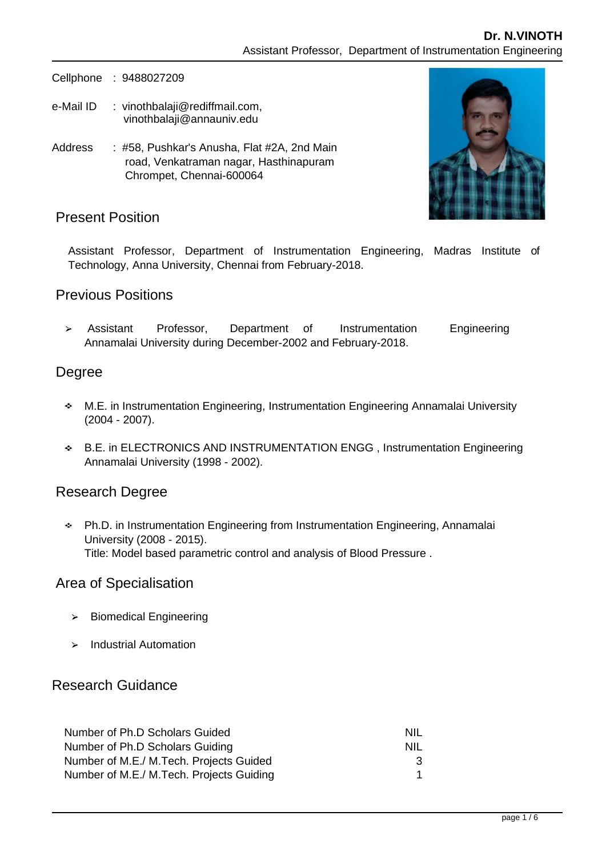Cellphone : 9488027209

- e-Mail ID : [vinothbalaji@rediffmail.com,](mailto:kamalanand@mitindia.edu) vinothbalaji@annauniv.edu
- Address : #58, Pushkar's Anusha, Flat #2A, 2nd Main road, Venkatraman nagar, Hasthinapuram Chrompet, Chennai-600064



## Present Position

Assistant Professor, Department of Instrumentation Engineering, Madras Institute of Technology, Anna University, Chennai from February-2018.

## Previous Positions

Assistant Professor, Department of Instrumentation Engineering Annamalai University during December-2002 and February-2018.

## Degree

- M.E. in Instrumentation Engineering, Instrumentation Engineering Annamalai University (2004 - 2007).
- B.E. in ELECTRONICS AND INSTRUMENTATION ENGG , Instrumentation Engineering Annamalai University (1998 - 2002).

## Research Degree

Ph.D. in Instrumentation Engineering from Instrumentation Engineering, Annamalai University (2008 - 2015). Title: Model based parametric control and analysis of Blood Pressure .

## Area of Specialisation

- $\triangleright$  Biomedical Engineering
- $\blacktriangleright$  Industrial Automation

## Research Guidance

| NIL. |
|------|
| NIL. |
| 3    |
|      |
|      |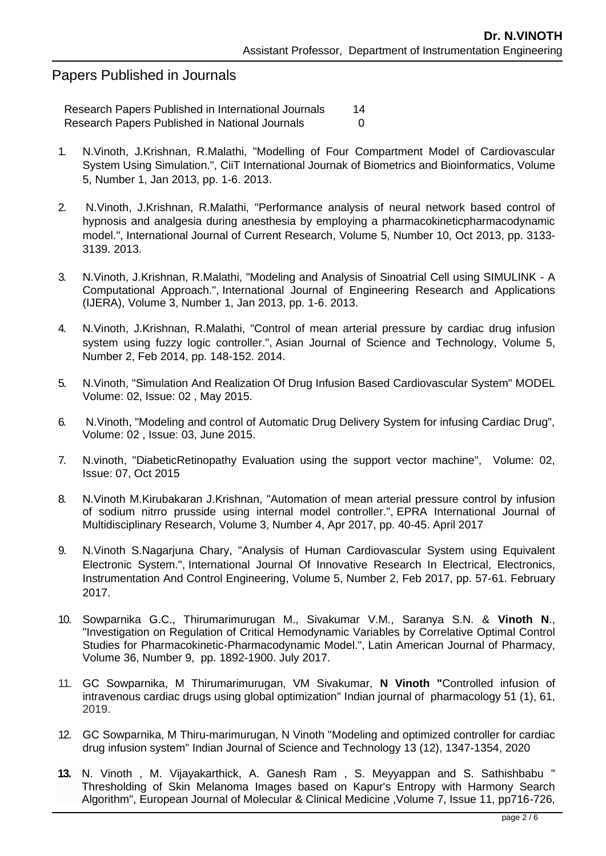## Papers Published in Journals

Research Papers Published in International Journals 14 Research Papers Published in National Journals **COV** 

- 1. N.Vinoth, J.Krishnan, R.Malathi, "Modelling of Four Compartment Model of Cardiovascular System Using Simulation.", CiiT International Journak of Biometrics and Bioinformatics, Volume 5, Number 1, Jan 2013, pp. 1-6. 2013.
- 2. N.Vinoth, J.Krishnan, R.Malathi, "Performance analysis of neural network based control of hypnosis and analgesia during anesthesia by employing a pharmacokineticpharmacodynamic model.", International Journal of Current Research, Volume 5, Number 10, Oct 2013, pp. 3133- 3139. 2013.
- 3. N.Vinoth, J.Krishnan, R.Malathi, "Modeling and Analysis of Sinoatrial Cell using SIMULINK A Computational Approach.", International Journal of Engineering Research and Applications (IJERA), Volume 3, Number 1, Jan 2013, pp. 1-6. 2013.
- 4. N.Vinoth, J.Krishnan, R.Malathi, "Control of mean arterial pressure by cardiac drug infusion system using fuzzy logic controller.", Asian Journal of Science and Technology, Volume 5, Number 2, Feb 2014, pp. 148-152. 2014.
- 5. N.Vinoth, "Simulation And Realization Of Drug Infusion Based Cardiovascular System" MODEL Volume: 02, Issue: 02 , May 2015.
- 6. N.Vinoth, "Modeling and control of Automatic Drug Delivery System for infusing Cardiac Drug", Volume: 02 , Issue: 03, June 2015.
- 7. N.vinoth, "DiabeticRetinopathy Evaluation using the support vector machine", Volume: 02, Issue: 07, Oct 2015
- 8. N.Vinoth M.Kirubakaran J.Krishnan, "Automation of mean arterial pressure control by infusion of sodium nitrro prusside using internal model controller.", EPRA International Journal of Multidisciplinary Research, Volume 3, Number 4, Apr 2017, pp. 40-45. April 2017
- 9. N.Vinoth S.Nagarjuna Chary, "Analysis of Human Cardiovascular System using Equivalent Electronic System.", International Journal Of Innovative Research In Electrical, Electronics, Instrumentation And Control Engineering, Volume 5, Number 2, Feb 2017, pp. 57-61. February 2017.
- 10. Sowparnika G.C., Thirumarimurugan M., Sivakumar V.M., Saranya S.N. & **Vinoth N**., "Investigation on Regulation of Critical Hemodynamic Variables by Correlative Optimal Control Studies for Pharmacokinetic-Pharmacodynamic Model.", Latin American Journal of Pharmacy, Volume 36, Number 9, pp. 1892-1900. July 2017.
- 11. GC Sowparnika, M Thirumarimurugan, VM Sivakumar, **N Vinoth "**[Controlled infusion of](javascript:void(0))  [intravenous cardiac drugs using global optimization"](javascript:void(0)) Indian journal of pharmacology 51 (1), 61, 2019.
- 12. GC Sowparnika, M Thiru-marimurugan, N Vinoth "Modeling and optimized controller for cardiac drug infusion system" Indian Journal of Science and Technology 13 (12), 1347-1354, 2020
- **13.** N. Vinoth , M. Vijayakarthick, A. Ganesh Ram , S. Meyyappan and S. Sathishbabu " Thresholding of Skin Melanoma Images based on Kapur's Entropy with Harmony Search Algorithm", European Journal of Molecular & Clinical Medicine ,Volume 7, Issue 11, pp716-726,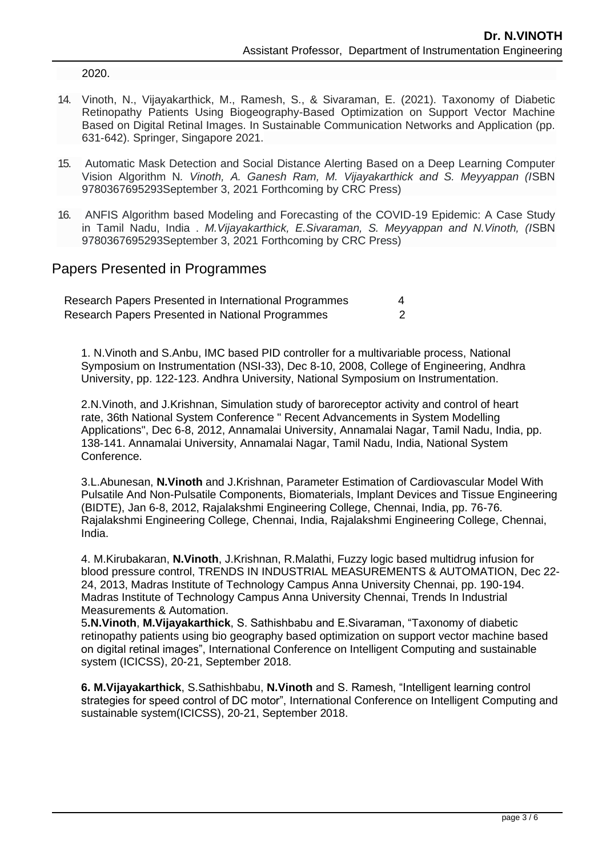2020.

- 14. Vinoth, N., Vijayakarthick, M., Ramesh, S., & Sivaraman, E. (2021). Taxonomy of Diabetic Retinopathy Patients Using Biogeography-Based Optimization on Support Vector Machine Based on Digital Retinal Images. In Sustainable Communication Networks and Application (pp. 631-642). Springer, Singapore 2021.
- 15. Automatic Mask Detection and Social Distance Alerting Based on a Deep Learning Computer Vision Algorithm N*. Vinoth, A. Ganesh Ram, M. Vijayakarthick and S. Meyyappan (I*SBN 9780367695293September 3, 2021 Forthcoming by CRC Press)
- 16. ANFIS Algorithm based Modeling and Forecasting of the COVID-19 Epidemic: A Case Study in Tamil Nadu, India . *M.Vijayakarthick, E.Sivaraman, S. Meyyappan and N.Vinoth, (I*SBN 9780367695293September 3, 2021 Forthcoming by CRC Press)

#### Papers Presented in Programmes

| Research Papers Presented in International Programmes |  |
|-------------------------------------------------------|--|
| Research Papers Presented in National Programmes      |  |

1. N.Vinoth and S.Anbu, IMC based PID controller for a multivariable process, National Symposium on Instrumentation (NSI-33), Dec 8-10, 2008, College of Engineering, Andhra University, pp. 122-123. Andhra University, National Symposium on Instrumentation.

2.N.Vinoth, and J.Krishnan, Simulation study of baroreceptor activity and control of heart rate, 36th National System Conference " Recent Advancements in System Modelling Applications", Dec 6-8, 2012, Annamalai University, Annamalai Nagar, Tamil Nadu, India, pp. 138-141. Annamalai University, Annamalai Nagar, Tamil Nadu, India, National System Conference.

3.L.Abunesan, **N.Vinoth** and J.Krishnan, Parameter Estimation of Cardiovascular Model With Pulsatile And Non-Pulsatile Components, Biomaterials, Implant Devices and Tissue Engineering (BIDTE), Jan 6-8, 2012, Rajalakshmi Engineering College, Chennai, India, pp. 76-76. Rajalakshmi Engineering College, Chennai, India, Rajalakshmi Engineering College, Chennai, India.

4. M.Kirubakaran, **N.Vinoth**, J.Krishnan, R.Malathi, Fuzzy logic based multidrug infusion for blood pressure control, TRENDS IN INDUSTRIAL MEASUREMENTS & AUTOMATION, Dec 22- 24, 2013, Madras Institute of Technology Campus Anna University Chennai, pp. 190-194. Madras Institute of Technology Campus Anna University Chennai, Trends In Industrial Measurements & Automation.

5**.N.Vinoth**, **M.Vijayakarthick**, S. Sathishbabu and E.Sivaraman, "Taxonomy of diabetic retinopathy patients using bio geography based optimization on support vector machine based on digital retinal images", International Conference on Intelligent Computing and sustainable system (ICICSS), 20-21, September 2018.

**6. M.Vijayakarthick**, S.Sathishbabu, **N.Vinoth** and S. Ramesh, "Intelligent learning control strategies for speed control of DC motor", International Conference on Intelligent Computing and sustainable system(ICICSS), 20-21, September 2018.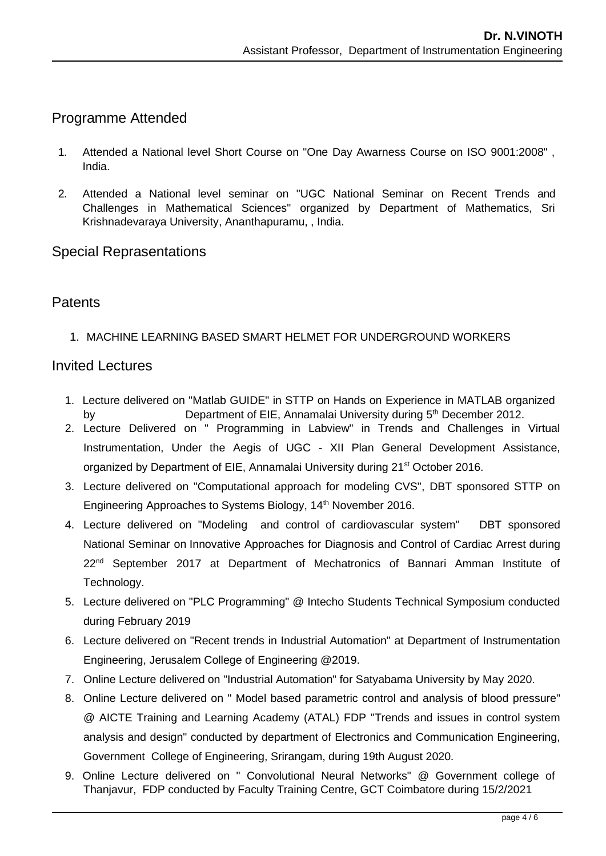# Programme Attended

- 1. Attended a National level Short Course on "One Day Awarness Course on ISO 9001:2008" , India.
- 2. Attended a National level seminar on "UGC National Seminar on Recent Trends and Challenges in Mathematical Sciences" organized by Department of Mathematics, Sri Krishnadevaraya University, Ananthapuramu, , India.

### Special Reprasentations

## **Patents**

1. MACHINE LEARNING BASED SMART HELMET FOR UNDERGROUND WORKERS

### Invited Lectures

- 1. Lecture delivered on "Matlab GUIDE" in STTP on Hands on Experience in MATLAB organized by Department of EIE, Annamalai University during 5<sup>th</sup> December 2012.
- 2. Lecture Delivered on " Programming in Labview" in Trends and Challenges in Virtual Instrumentation, Under the Aegis of UGC - XII Plan General Development Assistance, organized by Department of EIE, Annamalai University during 21<sup>st</sup> October 2016.
- 3. Lecture delivered on "Computational approach for modeling CVS", DBT sponsored STTP on Engineering Approaches to Systems Biology, 14<sup>th</sup> November 2016.
- 4. Lecture delivered on "Modeling and control of cardiovascular system" DBT sponsored National Seminar on Innovative Approaches for Diagnosis and Control of Cardiac Arrest during 22nd September 2017 at Department of Mechatronics of Bannari Amman Institute of Technology.
- 5. Lecture delivered on "PLC Programming" @ Intecho Students Technical Symposium conducted during February 2019
- 6. Lecture delivered on "Recent trends in Industrial Automation" at Department of Instrumentation Engineering, Jerusalem College of Engineering @2019.
- 7. Online Lecture delivered on "Industrial Automation" for Satyabama University by May 2020.
- 8. Online Lecture delivered on " Model based parametric control and analysis of blood pressure" @ AICTE Training and Learning Academy (ATAL) FDP "Trends and issues in control system analysis and design" conducted by department of Electronics and Communication Engineering, Government College of Engineering, Srirangam, during 19th August 2020.
- 9. Online Lecture delivered on " Convolutional Neural Networks" @ Government college of Thanjavur, FDP conducted by Faculty Training Centre, GCT Coimbatore during 15/2/2021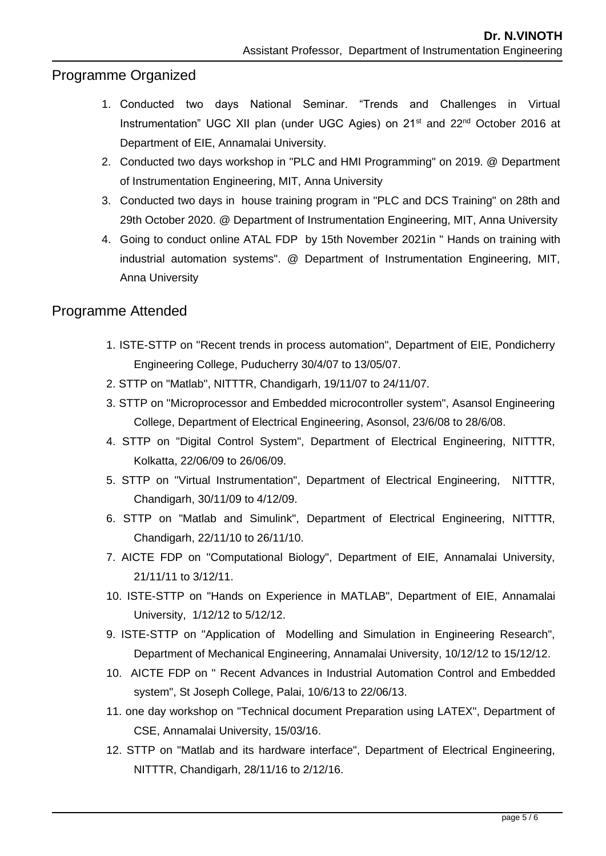# Programme Organized

- 1. Conducted two days National Seminar. "Trends and Challenges in Virtual Instrumentation" UGC XII plan (under UGC Agies) on 21<sup>st</sup> and 22<sup>nd</sup> October 2016 at Department of EIE, Annamalai University.
- 2. Conducted two days workshop in "PLC and HMI Programming" on 2019. @ Department of Instrumentation Engineering, MIT, Anna University
- 3. Conducted two days in house training program in "PLC and DCS Training" on 28th and 29th October 2020. @ Department of Instrumentation Engineering, MIT, Anna University
- 4. Going to conduct online ATAL FDP by 15th November 2021in " Hands on training with industrial automation systems". @ Department of Instrumentation Engineering, MIT, Anna University

## Programme Attended

- 1. ISTE-STTP on "Recent trends in process automation", Department of EIE, Pondicherry Engineering College, Puducherry 30/4/07 to 13/05/07.
- 2. STTP on "Matlab", NITTTR, Chandigarh, 19/11/07 to 24/11/07.
- 3. STTP on "Microprocessor and Embedded microcontroller system", Asansol Engineering College, Department of Electrical Engineering, Asonsol, 23/6/08 to 28/6/08.
- 4. STTP on "Digital Control System", Department of Electrical Engineering, NITTTR, Kolkatta, 22/06/09 to 26/06/09.
- 5. STTP on "Virtual Instrumentation", Department of Electrical Engineering, NITTTR, Chandigarh, 30/11/09 to 4/12/09.
- 6. STTP on "Matlab and Simulink", Department of Electrical Engineering, NITTTR, Chandigarh, 22/11/10 to 26/11/10.
- 7. AICTE FDP on "Computational Biology", Department of EIE, Annamalai University, 21/11/11 to 3/12/11.
- 10. ISTE-STTP on "Hands on Experience in MATLAB", Department of EIE, Annamalai University, 1/12/12 to 5/12/12.
- 9. ISTE-STTP on "Application of Modelling and Simulation in Engineering Research", Department of Mechanical Engineering, Annamalai University, 10/12/12 to 15/12/12.
- 10. AICTE FDP on " Recent Advances in Industrial Automation Control and Embedded system", St Joseph College, Palai, 10/6/13 to 22/06/13.
- 11. one day workshop on "Technical document Preparation using LATEX", Department of CSE, Annamalai University, 15/03/16.
- 12. STTP on "Matlab and its hardware interface", Department of Electrical Engineering, NITTTR, Chandigarh, 28/11/16 to 2/12/16.